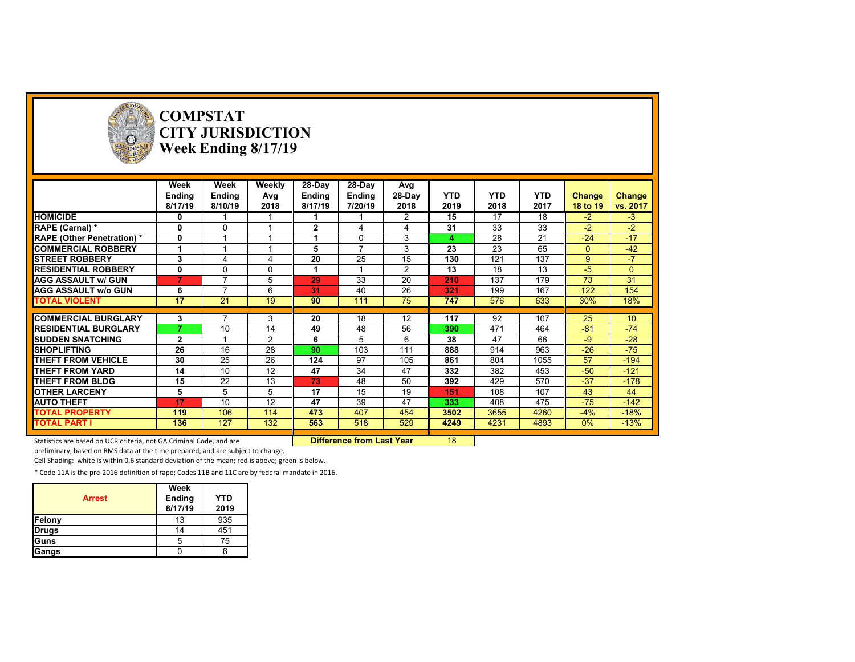

# **COMPSTAT CITY JURISDICTION Week Ending 8/17/19**

|                                   | Week         | Week                     | Weekly   | 28-Day        | 28-Day         | Avg            |            |            |            |              |                 |
|-----------------------------------|--------------|--------------------------|----------|---------------|----------------|----------------|------------|------------|------------|--------------|-----------------|
|                                   | Ending       | Ending                   | Avg      | <b>Ending</b> | Ending         | 28-Day         | <b>YTD</b> | <b>YTD</b> | <b>YTD</b> | Change       | Change          |
|                                   | 8/17/19      | 8/10/19                  | 2018     | 8/17/19       | 7/20/19        | 2018           | 2019       | 2018       | 2017       | 18 to 19     | vs. 2017        |
| <b>HOMICIDE</b>                   | 0            |                          |          |               |                | 2              | 15         | 17         | 18         | $-2$         | $-3$            |
| RAPE (Carnal) *                   | 0            | 0                        |          | $\mathbf{2}$  | 4              |                | 31         | 33         | 33         | $-2$         | $-2$            |
| <b>RAPE (Other Penetration) *</b> | 0            |                          |          |               | 0              | 3              |            | 28         | 21         | $-24$        | $-17$           |
| <b>COMMERCIAL ROBBERY</b>         | 1            |                          |          | 5             | $\overline{ }$ | 3              | 23         | 23         | 65         | $\mathbf{0}$ | $-42$           |
| <b>STREET ROBBERY</b>             | 3            | 4                        | 4        | 20            | 25             | 15             | 130        | 121        | 137        | 9            | $\overline{7}$  |
| <b>RESIDENTIAL ROBBERY</b>        | 0            | $\Omega$                 | $\Omega$ |               |                | $\overline{2}$ | 13         | 18         | 13         | $-5$         | $\mathbf{0}$    |
| <b>AGG ASSAULT w/ GUN</b>         | 7            | $\overline{ }$           | 5        | 29            | 33             | 20             | 210        | 137        | 179        | 73           | 31              |
| <b>AGG ASSAULT w/o GUN</b>        | 6            | $\overline{\phantom{a}}$ | 6        | 31            | 40             | 26             | 321        | 199        | 167        | 122          | 154             |
| <b>TOTAL VIOLENT</b>              | 17           | 21                       | 19       | 90            | 111            | 75             | 747        | 576        | 633        | 30%          | 18%             |
|                                   |              |                          |          |               |                |                |            |            |            |              |                 |
| <b>COMMERCIAL BURGLARY</b>        | 3            |                          | 3        | 20            | 18             | 12             | 117        | 92         | 107        | 25           | 10 <sup>1</sup> |
| <b>RESIDENTIAL BURGLARY</b>       |              | 10                       | 14       | 49            | 48             | 56             | 390        | 471        | 464        | $-81$        | $-74$           |
| <b>SUDDEN SNATCHING</b>           | $\mathbf{2}$ |                          | 2        | 6             | 5              | 6              | 38         | 47         | 66         | $-9$         | $-28$           |
| <b>SHOPLIFTING</b>                | 26           | 16                       | 28       | 90            | 103            | 111            | 888        | 914        | 963        | $-26$        | $-75$           |
| THEFT FROM VEHICLE                | 30           | 25                       | 26       | 124           | 97             | 105            | 861        | 804        | 1055       | 57           | $-194$          |
| THEFT FROM YARD                   | 14           | 10 <sup>°</sup>          | 12       | 47            | 34             | 47             | 332        | 382        | 453        | $-50$        | $-121$          |
| <b>THEFT FROM BLDG</b>            | 15           | 22                       | 13       | 73            | 48             | 50             | 392        | 429        | 570        | $-37$        | $-178$          |
| <b>OTHER LARCENY</b>              | 5            | 5                        | 5        | 17            | 15             | 19             | 151        | 108        | 107        | 43           | 44              |
| <b>AUTO THEFT</b>                 | 17           | 10                       | 12       | 47            | 39             | 47             | 333        | 408        | 475        | $-75$        | $-142$          |
| <b>TOTAL PROPERTY</b>             | 119          | 106                      | 114      | 473           | 407            | 454            | 3502       | 3655       | 4260       | $-4%$        | $-18%$          |
| <b>TOTAL PART I</b>               | 136          | 127                      | 132      | 563           | 518            | 529            | 4249       | 4231       | 4893       | $0\%$        | $-13%$          |
|                                   |              |                          |          |               |                |                |            |            |            |              |                 |

Statistics are based on UCR criteria, not GA Criminal Code, and are **Difference from Last Year** 18

preliminary, based on RMS data at the time prepared, and are subject to change.

Cell Shading: white is within 0.6 standard deviation of the mean; red is above; green is below.

| <b>Arrest</b> | Week<br>Ending<br>8/17/19 | <b>YTD</b><br>2019 |
|---------------|---------------------------|--------------------|
| Felony        | 13                        | 935                |
| <b>Drugs</b>  | 14                        | 451                |
| lGuns         | h                         | 75                 |
| Gangs         |                           |                    |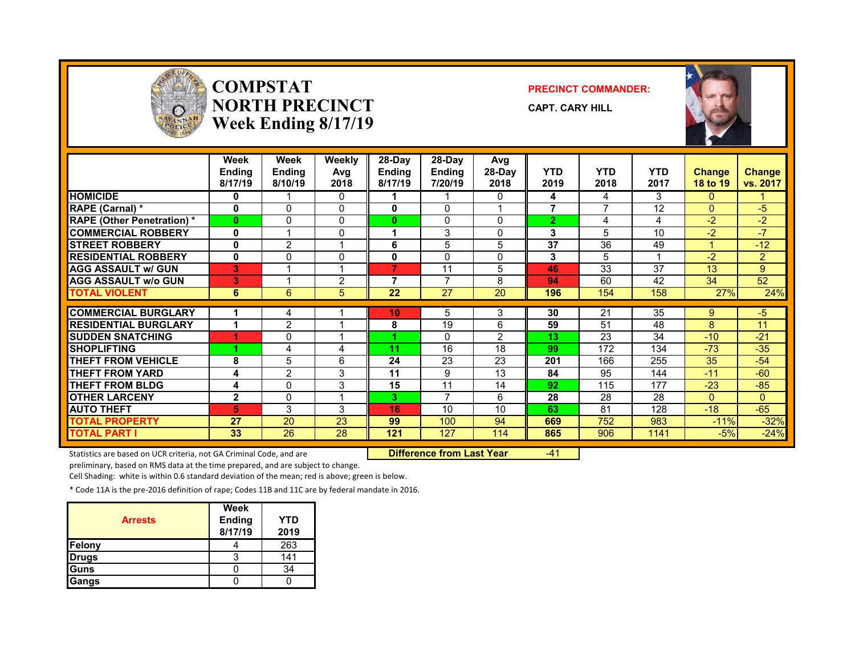

### **COMPSTATNORTH PRECINCTWeek Ending 8/17/19**

#### **PRECINCT COMMANDER:**

**CAPT. CARY HILL**



|                                  | Week<br><b>Ending</b><br>8/17/19 | Week<br><b>Endina</b><br>8/10/19 | Weekly<br>Avg<br>2018 | $28-Day$<br><b>Ending</b><br>8/17/19 | 28-Day<br><b>Ending</b><br>7/20/19 | Avg<br>28-Day<br>2018 | <b>YTD</b><br>2019 | <b>YTD</b><br>2018 | <b>YTD</b><br>2017 | <b>Change</b><br>18 to 19 | <b>Change</b><br>vs. 2017 |
|----------------------------------|----------------------------------|----------------------------------|-----------------------|--------------------------------------|------------------------------------|-----------------------|--------------------|--------------------|--------------------|---------------------------|---------------------------|
| <b>HOMICIDE</b>                  | 0                                |                                  | 0                     |                                      |                                    | 0                     | 4                  | 4                  | 3                  | $\mathbf{0}$              |                           |
| RAPE (Carnal) *                  | 0                                | 0                                | 0                     | 0                                    | $\Omega$                           |                       | 7                  | $\overline{ }$     | 12                 | $\Omega$                  | $-5$                      |
| <b>RAPE (Other Penetration)*</b> | $\bf{0}$                         | 0                                | $\Omega$              | 0                                    | $\mathbf{0}$                       | $\Omega$              | 2                  | 4                  | 4                  | $-2$                      | $-2$                      |
| <b>COMMERCIAL ROBBERY</b>        | 0                                |                                  | 0                     |                                      | 3                                  | 0                     | 3                  | 5                  | 10                 | $-2$                      | $-7$                      |
| <b>STREET ROBBERY</b>            | 0                                | $\overline{2}$                   | 4                     | 6                                    | 5                                  | 5                     | 37                 | 36                 | 49                 |                           | $-12$                     |
| <b>RESIDENTIAL ROBBERY</b>       | 0                                | 0                                | 0                     | 0                                    | 0                                  | 0                     | 3                  | 5                  |                    | $-2$                      | $\overline{2}$            |
| <b>AGG ASSAULT w/ GUN</b>        | 3                                |                                  | ◢                     | 7                                    | 11                                 | 5                     | 46                 | 33                 | 37                 | 13                        | 9                         |
| <b>AGG ASSAULT W/o GUN</b>       | 3                                |                                  | $\overline{2}$        | 7                                    | $\overline{ }$                     | 8                     | 94                 | 60                 | 42                 | 34                        | 52                        |
| <b>TOTAL VIOLENT</b>             | 6                                | 6                                | 5                     | 22                                   | 27                                 | 20                    | 196                | 154                | 158                | 27%                       | 24%                       |
|                                  |                                  |                                  |                       |                                      |                                    |                       |                    |                    |                    |                           |                           |
| <b>COMMERCIAL BURGLARY</b>       |                                  | 4                                |                       | 10                                   | 5                                  | 3                     | 30                 | 21                 | 35                 | 9                         | $-5$                      |
| <b>RESIDENTIAL BURGLARY</b>      |                                  | $\overline{2}$                   |                       | 8                                    | 19                                 | 6                     | 59                 | 51                 | 48                 | 8                         | 11                        |
| <b>ISUDDEN SNATCHING</b>         |                                  | 0                                |                       |                                      | 0                                  | $\overline{2}$        | 13                 | 23                 | 34                 | $-10$                     | $-21$                     |
| <b>SHOPLIFTING</b>               |                                  | 4                                | 4                     | 11                                   | 16                                 | 18                    | 99                 | 172                | 134                | $-73$                     | $-35$                     |
| THEFT FROM VEHICLE               | 8                                | 5                                | 6                     | 24                                   | 23                                 | 23                    | 201                | 166                | 255                | 35                        | $-54$                     |
| <b>THEFT FROM YARD</b>           | 4                                | $\overline{2}$                   | 3                     | 11                                   | 9                                  | 13                    | 84                 | 95                 | 144                | $-11$                     | $-60$                     |
| <b>THEFT FROM BLDG</b>           | 4                                | $\Omega$                         | 3                     | 15                                   | 11                                 | 14                    | 92                 | 115                | 177                | $-23$                     | $-85$                     |
| <b>OTHER LARCENY</b>             | $\mathbf{2}$                     | 0                                | 4                     | 3                                    | $\overline{7}$                     | 6                     | 28                 | 28                 | 28                 | $\Omega$                  | $\Omega$                  |
| <b>AUTO THEFT</b>                | 5                                | 3                                | 3                     | 16                                   | 10                                 | 10                    | 63                 | 81                 | 128                | $-18$                     | $-65$                     |
| <b>TOTAL PROPERTY</b>            | 27                               | 20                               | 23                    | 99                                   | 100                                | 94                    | 669                | 752                | 983                | $-11%$                    | $-32%$                    |
| <b>TOTAL PART I</b>              | 33                               | 26                               | 28                    | 121                                  | 127                                | 114                   | 865                | 906                | 1141               | $-5%$                     | $-24%$                    |

Statistics are based on UCR criteria, not GA Criminal Code, and are **Difference from Last Year** -41

preliminary, based on RMS data at the time prepared, and are subject to change.

Cell Shading: white is within 0.6 standard deviation of the mean; red is above; green is below.

| <b>Arrests</b> | Week<br><b>Ending</b><br>8/17/19 | YTD<br>2019 |
|----------------|----------------------------------|-------------|
| <b>Felony</b>  |                                  | 263         |
| <b>Drugs</b>   |                                  | 141         |
| <b>Guns</b>    |                                  | 34          |
| Gangs          |                                  |             |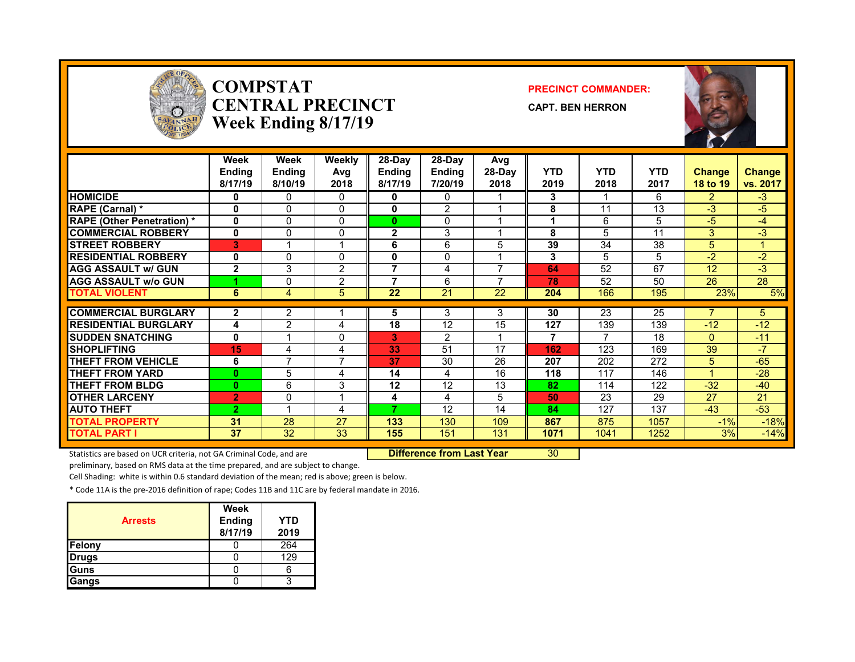

### **COMPSTATCENTRAL PRECINCTWeek Ending 8/17/19**

#### **PRECINCT COMMANDER:**

**CAPT. BEN HERRON**



|                                   | Week<br>Ending<br>8/17/19 | Week<br><b>Ending</b><br>8/10/19 | <b>Weekly</b><br>Avg<br>2018 | 28-Day<br><b>Ending</b><br>8/17/19 | 28-Day<br><b>Ending</b><br>7/20/19 | Avg<br>28-Day<br>2018 | <b>YTD</b><br>2019 | <b>YTD</b><br>2018 | <b>YTD</b><br>2017 | <b>Change</b><br>18 to 19 | <b>Change</b><br>vs. 2017 |
|-----------------------------------|---------------------------|----------------------------------|------------------------------|------------------------------------|------------------------------------|-----------------------|--------------------|--------------------|--------------------|---------------------------|---------------------------|
| <b>HOMICIDE</b>                   | 0                         | 0                                | 0                            | 0                                  | 0                                  |                       | 3                  |                    | 6                  | $\mathcal{P}$             | $-3$                      |
| <b>RAPE (Carnal) *</b>            | 0                         | 0                                | $\Omega$                     | $\mathbf{0}$                       | 2                                  |                       | 8                  | 11                 | 13                 | $-3$                      | $-5$                      |
| <b>RAPE (Other Penetration)</b> * | $\mathbf{0}$              | 0                                | $\Omega$                     | $\bf{0}$                           | $\Omega$                           |                       | 1                  | 6                  | 5                  | -5                        | -4                        |
| <b>COMMERCIAL ROBBERY</b>         | 0                         | 0                                | $\Omega$                     | $\mathbf{2}$                       | 3                                  |                       | 8                  | 5                  | 11                 | 3                         | $-3$                      |
| <b>STREET ROBBERY</b>             | 3                         |                                  |                              | 6                                  | 6                                  | 5                     | 39                 | 34                 | 38                 | 5                         |                           |
| <b>RESIDENTIAL ROBBERY</b>        | 0                         | 0                                | $\Omega$                     | 0                                  | $\Omega$                           |                       | 3                  | 5                  | 5                  | $-2$                      | $-2$                      |
| <b>AGG ASSAULT w/ GUN</b>         | $\overline{2}$            | 3                                | 2                            |                                    | 4                                  | –                     | 64                 | 52                 | 67                 | 12                        | $-3$                      |
| <b>AGG ASSAULT w/o GUN</b>        |                           | 0                                | $\overline{2}$               | 7                                  | 6                                  |                       | 78                 | 52                 | 50                 | 26                        | 28                        |
| <b>TOTAL VIOLENT</b>              | 6                         | 4                                | 5                            | 22                                 | 21                                 | 22                    | 204                | 166                | 195                | 23%                       | 5%                        |
|                                   |                           |                                  |                              |                                    |                                    | 3                     | 30                 | 23                 | 25                 |                           | 5                         |
| <b>COMMERCIAL BURGLARY</b>        | 2                         | $\overline{2}$                   |                              | 5                                  | 3                                  |                       |                    |                    |                    |                           |                           |
| <b>RESIDENTIAL BURGLARY</b>       | 4                         | $\overline{2}$                   | 4                            | 18                                 | 12                                 | 15                    | 127                | 139                | 139                | $-12$                     | $-12$                     |
| <b>ISUDDEN SNATCHING</b>          | 0                         |                                  | 0                            | 3.                                 | $\overline{2}$                     |                       | 7                  |                    | 18                 | $\Omega$                  | $-11$                     |
| <b>SHOPLIFTING</b>                | 15                        | 4                                | 4                            | 33                                 | 51                                 | 17                    | 162                | 123                | 169                | 39                        | $-7$                      |
| <b>THEFT FROM VEHICLE</b>         | 6                         | 7                                | 7                            | 37                                 | 30                                 | 26                    | 207                | 202                | 272                | 5                         | $-65$                     |
| <b>THEFT FROM YARD</b>            | $\bf{0}$                  | 5                                | 4                            | 14                                 | 4                                  | 16                    | 118                | 117                | 146                |                           | $-28$                     |
| <b>THEFT FROM BLDG</b>            | $\bf{0}$                  | 6                                | 3                            | 12                                 | 12                                 | 13                    | 82                 | 114                | 122                | $-32$                     | $-40$                     |
| <b>OTHER LARCENY</b>              | $\overline{2}$            | 0                                | -4                           | 4                                  | 4                                  | 5                     | 50                 | 23                 | 29                 | 27                        | 21                        |
| <b>AUTO THEFT</b>                 | $\overline{2}$            | 4                                | 4                            | 7                                  | 12                                 | 14                    | 84                 | 127                | 137                | $-43$                     | $-53$                     |
| <b>TOTAL PROPERTY</b>             | 31                        | 28                               | 27                           | 133                                | 130                                | 109                   | 867                | 875                | 1057               | $-1%$                     | $-18%$                    |
| <b>TOTAL PART I</b>               | 37                        | 32                               | 33                           | 155                                | 151                                | 131                   | 1071               | 1041               | 1252               | 3%                        | $-14%$                    |

Statistics are based on UCR criteria, not GA Criminal Code, and are **Difference from Last Year** 30

preliminary, based on RMS data at the time prepared, and are subject to change.

Cell Shading: white is within 0.6 standard deviation of the mean; red is above; green is below.

| <b>Arrests</b> | Week<br><b>Ending</b><br>8/17/19 | <b>YTD</b><br>2019 |
|----------------|----------------------------------|--------------------|
| Felony         |                                  | 264                |
| <b>Drugs</b>   |                                  | 129                |
| Guns           |                                  |                    |
| Gangs          |                                  |                    |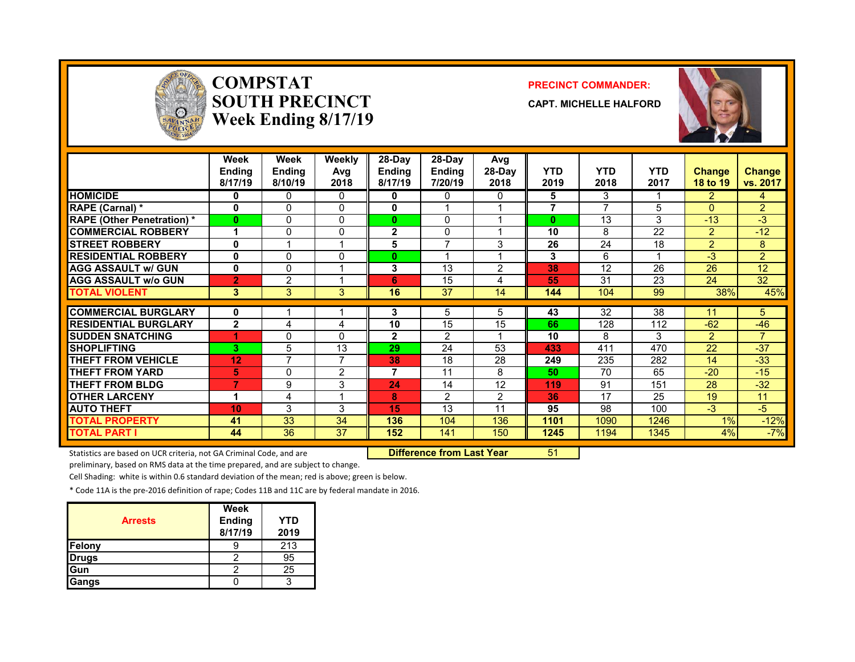

### **COMPSTATSOUTH PRECINCTWeek Ending 8/17/19**

#### **PRECINCT COMMANDER:**

**CAPT. MICHELLE HALFORD**



|                                   | Week<br><b>Ending</b><br>8/17/19 | Week<br>Ending<br>8/10/19 | <b>Weekly</b><br>Avg<br>2018 | 28-Day<br><b>Endina</b><br>8/17/19 | 28-Day<br><b>Ending</b><br>7/20/19 | Avg<br>28-Day<br>2018 | <b>YTD</b><br>2019 | <b>YTD</b><br>2018       | <b>YTD</b><br>2017 | <b>Change</b><br>18 to 19 | <b>Change</b><br>vs. 2017 |
|-----------------------------------|----------------------------------|---------------------------|------------------------------|------------------------------------|------------------------------------|-----------------------|--------------------|--------------------------|--------------------|---------------------------|---------------------------|
| <b>HOMICIDE</b>                   | $\mathbf{0}$                     | 0                         | $\Omega$                     | 0                                  | 0                                  | 0                     | 5                  | 3                        |                    | $\overline{2}$            | 4                         |
| RAPE (Carnal) *                   | $\mathbf{0}$                     | 0                         | 0                            | 0                                  |                                    |                       | 7                  | $\overline{\phantom{a}}$ | 5                  | $\Omega$                  | $\overline{2}$            |
| <b>RAPE (Other Penetration) *</b> | $\mathbf{0}$                     | 0                         | 0                            | $\bf{0}$                           | 0                                  |                       | $\bf{0}$           | 13                       | 3                  | $-13$                     | $-3$                      |
| <b>COMMERCIAL ROBBERY</b>         |                                  | 0                         | 0                            | $\overline{2}$                     | 0                                  |                       | 10                 | 8                        | 22                 | $\overline{2}$            | $-12$                     |
| <b>STREET ROBBERY</b>             | 0                                |                           |                              | 5                                  | $\overline{ }$                     | 3                     | 26                 | 24                       | 18                 | $\overline{2}$            | 8                         |
| <b>RESIDENTIAL ROBBERY</b>        | $\mathbf{0}$                     | $\Omega$                  | 0                            | 0                                  |                                    |                       | 3                  | 6                        |                    | $-3$                      | $\overline{2}$            |
| <b>AGG ASSAULT w/ GUN</b>         | $\mathbf{0}$                     | $\Omega$                  |                              | 3                                  | 13                                 | 2                     | 38                 | 12                       | 26                 | 26                        | 12                        |
| <b>AGG ASSAULT W/o GUN</b>        | $\overline{2}$                   | 2                         |                              | 6                                  | 15                                 | 4                     | 55                 | 31                       | 23                 | 24                        | 32                        |
| <b>TOTAL VIOLENT</b>              | 3                                | 3                         | 3                            | 16                                 | 37                                 | 14                    | 144                | 104                      | 99                 | 38%                       | 45%                       |
| <b>COMMERCIAL BURGLARY</b>        | 0                                |                           |                              | 3                                  | 5                                  | 5                     | 43                 | 32                       | 38                 | 11                        | 5                         |
|                                   |                                  |                           |                              |                                    |                                    |                       |                    |                          |                    |                           |                           |
| <b>RESIDENTIAL BURGLARY</b>       | $\mathbf{2}$                     | 4                         | 4                            | 10                                 | 15                                 | 15                    | 66                 | 128                      | 112                | $-62$                     | $-46$                     |
| <b>SUDDEN SNATCHING</b>           | ۹                                | 0                         | 0                            | $\mathbf{2}$                       | $\mathcal{P}$                      |                       | 10                 | 8                        | 3                  | $\mathcal{P}$             | $\overline{7}$            |
| <b>SHOPLIFTING</b>                | 3                                | 5                         | 13                           | 29                                 | 24                                 | 53                    | 433                | 411                      | 470                | 22                        | $-37$                     |
| <b>THEFT FROM VEHICLE</b>         | 12                               | $\overline{7}$            | 7                            | 38                                 | 18                                 | 28                    | 249                | 235                      | 282                | 14                        | $-33$                     |
| <b>THEFT FROM YARD</b>            | 5                                | 0                         | 2                            | 7                                  | 11                                 | 8                     | 50                 | 70                       | 65                 | $-20$                     | $-15$                     |
| <b>THEFT FROM BLDG</b>            | 7                                | 9                         | 3                            | 24                                 | 14                                 | 12                    | 119                | 91                       | 151                | 28                        | $-32$                     |
| <b>OTHER LARCENY</b>              | $\blacktriangleleft$             | 4                         | $\overline{\mathbf{A}}$      | 8                                  | 2                                  | 2                     | 36                 | 17                       | 25                 | 19                        | 11                        |
| <b>AUTO THEFT</b>                 | 10                               | 3                         | 3                            | 15                                 | 13                                 | 11                    | 95                 | 98                       | 100                | $-3$                      | $-5$                      |
| <b>TOTAL PROPERTY</b>             | 41                               | 33                        | 34                           | 136                                | 104                                | 136                   | 1101               | 1090                     | 1246               | 1%                        | $-12%$                    |
| <b>TOTAL PART I</b>               | 44                               | 36                        | 37                           | 152                                | 141                                | 150                   | 1245               | 1194                     | 1345               | 4%                        | $-7%$                     |

Statistics are based on UCR criteria, not GA Criminal Code, and are **Difference from Last Year** 51

preliminary, based on RMS data at the time prepared, and are subject to change.

Cell Shading: white is within 0.6 standard deviation of the mean; red is above; green is below.

| <b>Arrests</b> | <b>Week</b><br><b>Ending</b><br>8/17/19 | YTD<br>2019 |
|----------------|-----------------------------------------|-------------|
| Felony         |                                         | 213         |
| <b>Drugs</b>   |                                         | 95          |
| Gun            |                                         | 25          |
| Gangs          |                                         | ຈ           |